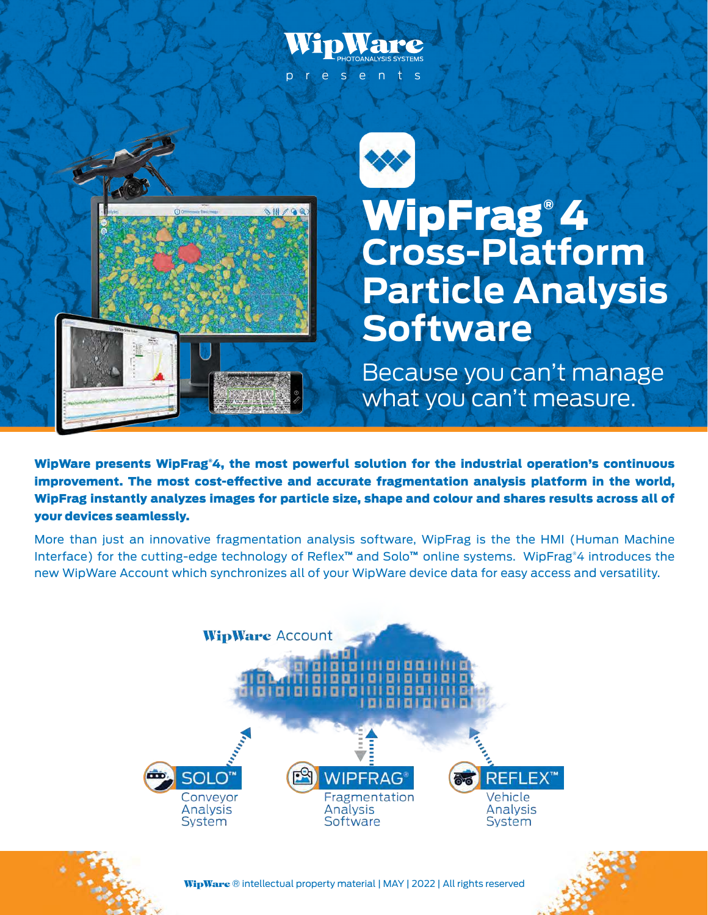# presents





# WipFrag® 4 **Cross-Platform Particle Analysis Software**

Because you can't manage what you can't measure.

WipWare presents WipFrag®4, the most powerful solution for the industrial operation's continuous improvement. The most cost-effective and accurate fragmentation analysis platform in the world, WipFrag instantly analyzes images for particle size, shape and colour and shares results across all of your devices seamlessly.

More than just an innovative fragmentation analysis software, WipFrag is the the HMI (Human Machine Interface) for the cutting-edge technology of Reflex™ and Solo™ online systems. WipFrag®4 introduces the new WipWare Account which synchronizes all of your WipWare device data for easy access and versatility.







WipWare ® intellectual property material | MAY | 2022 | All rights reserved